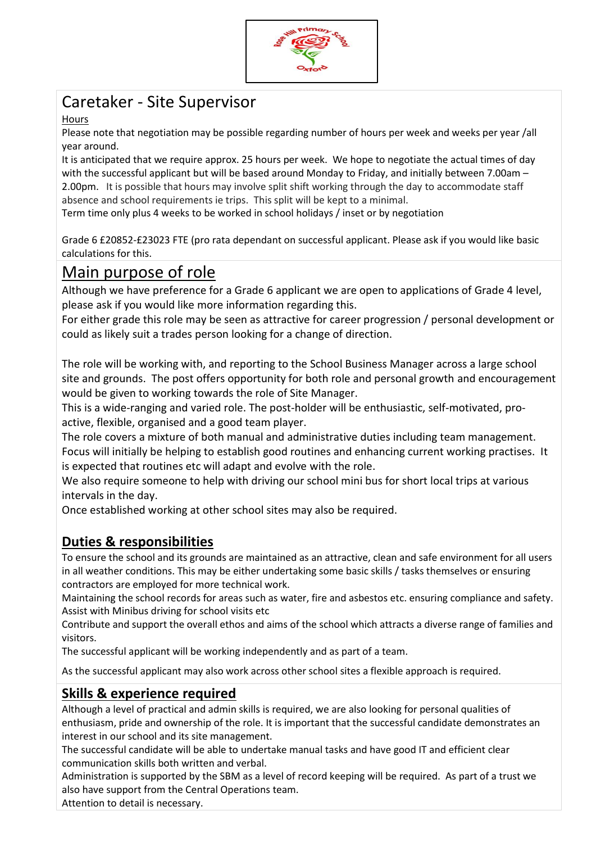

# Caretaker - Site Supervisor

### Hours

Please note that negotiation may be possible regarding number of hours per week and weeks per year /all year around.

It is anticipated that we require approx. 25 hours per week. We hope to negotiate the actual times of day with the successful applicant but will be based around Monday to Friday, and initially between 7.00am – 2.00pm. It is possible that hours may involve split shift working through the day to accommodate staff absence and school requirements ie trips. This split will be kept to a minimal.

Term time only plus 4 weeks to be worked in school holidays / inset or by negotiation

Grade 6 £20852-£23023 FTE (pro rata dependant on successful applicant. Please ask if you would like basic calculations for this.

## Main purpose of role

Although we have preference for a Grade 6 applicant we are open to applications of Grade 4 level, please ask if you would like more information regarding this.

For either grade this role may be seen as attractive for career progression / personal development or could as likely suit a trades person looking for a change of direction.

The role will be working with, and reporting to the School Business Manager across a large school site and grounds. The post offers opportunity for both role and personal growth and encouragement would be given to working towards the role of Site Manager.

This is a wide-ranging and varied role. The post-holder will be enthusiastic, self-motivated, proactive, flexible, organised and a good team player.

The role covers a mixture of both manual and administrative duties including team management. Focus will initially be helping to establish good routines and enhancing current working practises. It is expected that routines etc will adapt and evolve with the role.

We also require someone to help with driving our school mini bus for short local trips at various intervals in the day.

Once established working at other school sites may also be required.

### **Duties & responsibilities**

To ensure the school and its grounds are maintained as an attractive, clean and safe environment for all users in all weather conditions. This may be either undertaking some basic skills / tasks themselves or ensuring contractors are employed for more technical work.

Maintaining the school records for areas such as water, fire and asbestos etc. ensuring compliance and safety. Assist with Minibus driving for school visits etc

Contribute and support the overall ethos and aims of the school which attracts a diverse range of families and visitors.

The successful applicant will be working independently and as part of a team.

As the successful applicant may also work across other school sites a flexible approach is required.

### **Skills & experience required**

Although a level of practical and admin skills is required, we are also looking for personal qualities of enthusiasm, pride and ownership of the role. It is important that the successful candidate demonstrates an interest in our school and its site management.

The successful candidate will be able to undertake manual tasks and have good IT and efficient clear communication skills both written and verbal.

Administration is supported by the SBM as a level of record keeping will be required. As part of a trust we also have support from the Central Operations team.

Attention to detail is necessary.